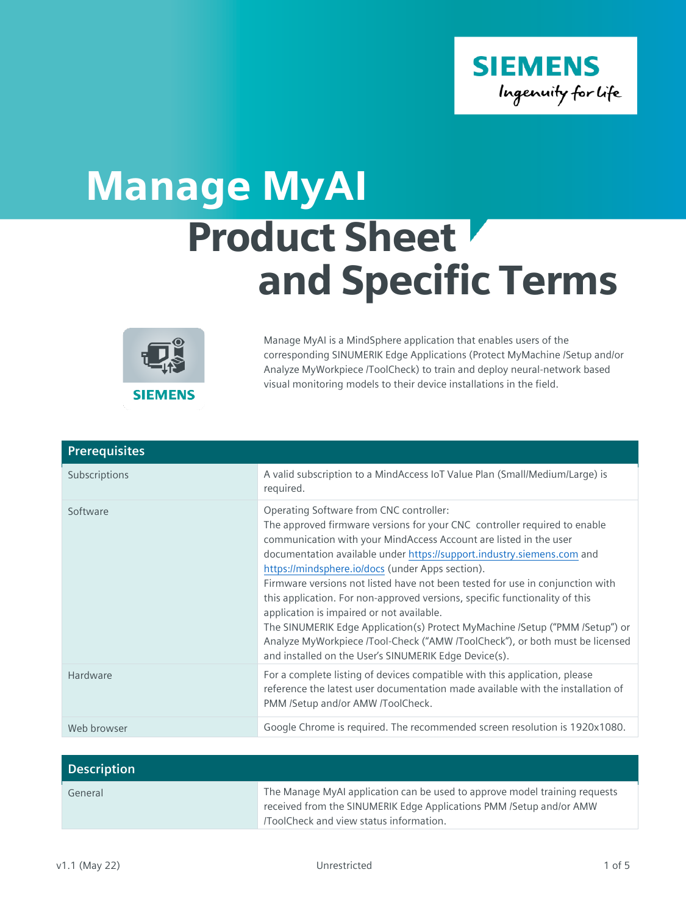

## Product Sheet and Specific Terms Manage MyAI



Manage MyAI is a MindSphere application that enables users of the corresponding SINUMERIK Edge Applications (Protect MyMachine /Setup and/or Analyze MyWorkpiece /ToolCheck) to train and deploy neural-network based visual monitoring models to their device installations in the field.

| <b>Prerequisites</b> |                                                                                                                                                                                                                                                                                                                                                                                                                                                                                                                                                                                                                                                                                                                                                               |
|----------------------|---------------------------------------------------------------------------------------------------------------------------------------------------------------------------------------------------------------------------------------------------------------------------------------------------------------------------------------------------------------------------------------------------------------------------------------------------------------------------------------------------------------------------------------------------------------------------------------------------------------------------------------------------------------------------------------------------------------------------------------------------------------|
| Subscriptions        | A valid subscription to a MindAccess IoT Value Plan (Small/Medium/Large) is<br>required.                                                                                                                                                                                                                                                                                                                                                                                                                                                                                                                                                                                                                                                                      |
| Software             | Operating Software from CNC controller:<br>The approved firmware versions for your CNC controller required to enable<br>communication with your MindAccess Account are listed in the user<br>documentation available under https://support.industry.siemens.com and<br>https://mindsphere.io/docs (under Apps section).<br>Firmware versions not listed have not been tested for use in conjunction with<br>this application. For non-approved versions, specific functionality of this<br>application is impaired or not available.<br>The SINUMERIK Edge Application(s) Protect MyMachine /Setup ("PMM /Setup") or<br>Analyze MyWorkpiece /Tool-Check ("AMW /ToolCheck"), or both must be licensed<br>and installed on the User's SINUMERIK Edge Device(s). |
| Hardware             | For a complete listing of devices compatible with this application, please<br>reference the latest user documentation made available with the installation of<br>PMM /Setup and/or AMW /ToolCheck.                                                                                                                                                                                                                                                                                                                                                                                                                                                                                                                                                            |
| Web browser          | Google Chrome is required. The recommended screen resolution is 1920x1080.                                                                                                                                                                                                                                                                                                                                                                                                                                                                                                                                                                                                                                                                                    |

| <b>Description</b> |                                                                                                                                                                                             |
|--------------------|---------------------------------------------------------------------------------------------------------------------------------------------------------------------------------------------|
| General            | The Manage MyAI application can be used to approve model training requests<br>received from the SINUMERIK Edge Applications PMM /Setup and/or AMW<br>ToolCheck and view status information. |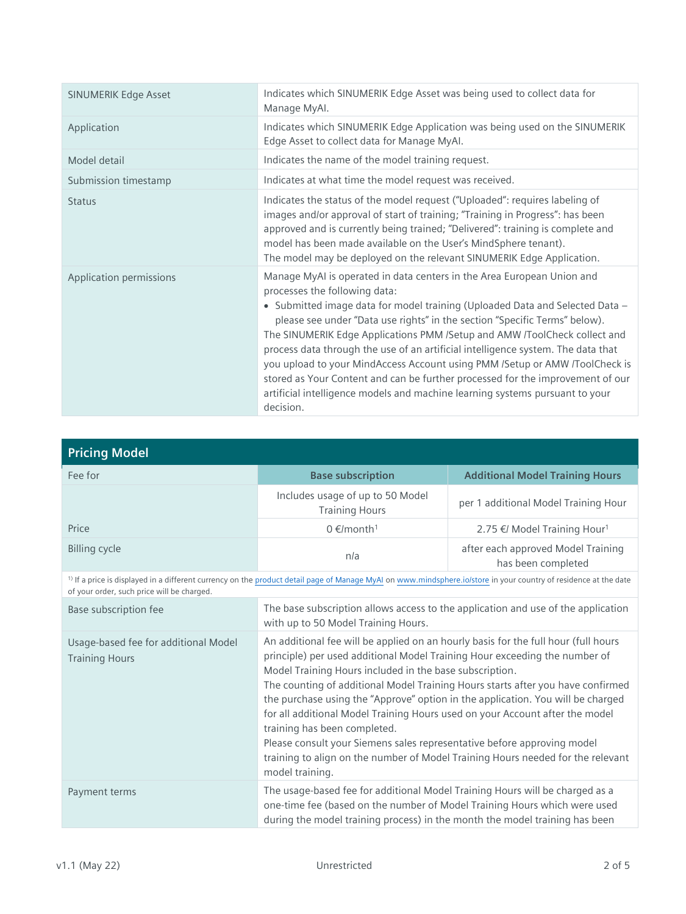| <b>SINUMERIK Edge Asset</b> | Indicates which SINUMERIK Edge Asset was being used to collect data for<br>Manage MyAl.                                                                                                                                                                                                                                                                                                                                                                                                                                                                                                                                                                                                              |
|-----------------------------|------------------------------------------------------------------------------------------------------------------------------------------------------------------------------------------------------------------------------------------------------------------------------------------------------------------------------------------------------------------------------------------------------------------------------------------------------------------------------------------------------------------------------------------------------------------------------------------------------------------------------------------------------------------------------------------------------|
| Application                 | Indicates which SINUMERIK Edge Application was being used on the SINUMERIK<br>Edge Asset to collect data for Manage MyAl.                                                                                                                                                                                                                                                                                                                                                                                                                                                                                                                                                                            |
| Model detail                | Indicates the name of the model training request.                                                                                                                                                                                                                                                                                                                                                                                                                                                                                                                                                                                                                                                    |
| Submission timestamp        | Indicates at what time the model request was received.                                                                                                                                                                                                                                                                                                                                                                                                                                                                                                                                                                                                                                               |
| <b>Status</b>               | Indicates the status of the model request ("Uploaded": requires labeling of<br>images and/or approval of start of training; "Training in Progress": has been<br>approved and is currently being trained; "Delivered": training is complete and<br>model has been made available on the User's MindSphere tenant).<br>The model may be deployed on the relevant SINUMERIK Edge Application.                                                                                                                                                                                                                                                                                                           |
| Application permissions     | Manage MyAI is operated in data centers in the Area European Union and<br>processes the following data:<br>• Submitted image data for model training (Uploaded Data and Selected Data -<br>please see under "Data use rights" in the section "Specific Terms" below).<br>The SINUMERIK Edge Applications PMM /Setup and AMW /ToolCheck collect and<br>process data through the use of an artificial intelligence system. The data that<br>you upload to your MindAccess Account using PMM /Setup or AMW /ToolCheck is<br>stored as Your Content and can be further processed for the improvement of our<br>artificial intelligence models and machine learning systems pursuant to your<br>decision. |

| <b>Pricing Model</b>                                                                                                                                                                                                      |                                                                                                                          |                                                          |
|---------------------------------------------------------------------------------------------------------------------------------------------------------------------------------------------------------------------------|--------------------------------------------------------------------------------------------------------------------------|----------------------------------------------------------|
| Fee for                                                                                                                                                                                                                   | <b>Base subscription</b>                                                                                                 | <b>Additional Model Training Hours</b>                   |
|                                                                                                                                                                                                                           | Includes usage of up to 50 Model<br><b>Training Hours</b>                                                                | per 1 additional Model Training Hour                     |
| Price                                                                                                                                                                                                                     | $0 \in$ /month <sup>1</sup>                                                                                              | 2.75 €/ Model Training Hour <sup>1</sup>                 |
| <b>Billing cycle</b>                                                                                                                                                                                                      | n/a                                                                                                                      | after each approved Model Training<br>has been completed |
| <sup>1)</sup> If a price is displayed in a different currency on the product detail page of Manage MyAI on www.mindsphere.io/store in your country of residence at the date<br>of your order, such price will be charged. |                                                                                                                          |                                                          |
| Base subscription fee                                                                                                                                                                                                     | The base subscription allows access to the application and use of the application<br>with up to 50 Model Training Hours. |                                                          |
| Usage-based fee for additional Model                                                                                                                                                                                      | An additional fee will be applied on an hourly basis for the full hour (full hours                                       |                                                          |

| Usage-based fee for additional Model<br><b>Training Hours</b> | An additional fee will be applied on an hourly basis for the full hour (full hours<br>principle) per used additional Model Training Hour exceeding the number of<br>Model Training Hours included in the base subscription.<br>The counting of additional Model Training Hours starts after you have confirmed<br>the purchase using the "Approve" option in the application. You will be charged<br>for all additional Model Training Hours used on your Account after the model<br>training has been completed.<br>Please consult your Siemens sales representative before approving model<br>training to align on the number of Model Training Hours needed for the relevant<br>model training. |
|---------------------------------------------------------------|----------------------------------------------------------------------------------------------------------------------------------------------------------------------------------------------------------------------------------------------------------------------------------------------------------------------------------------------------------------------------------------------------------------------------------------------------------------------------------------------------------------------------------------------------------------------------------------------------------------------------------------------------------------------------------------------------|
|                                                               |                                                                                                                                                                                                                                                                                                                                                                                                                                                                                                                                                                                                                                                                                                    |
| Payment terms                                                 | The usage-based fee for additional Model Training Hours will be charged as a<br>one-time fee (based on the number of Model Training Hours which were used<br>during the model training process) in the month the model training has been                                                                                                                                                                                                                                                                                                                                                                                                                                                           |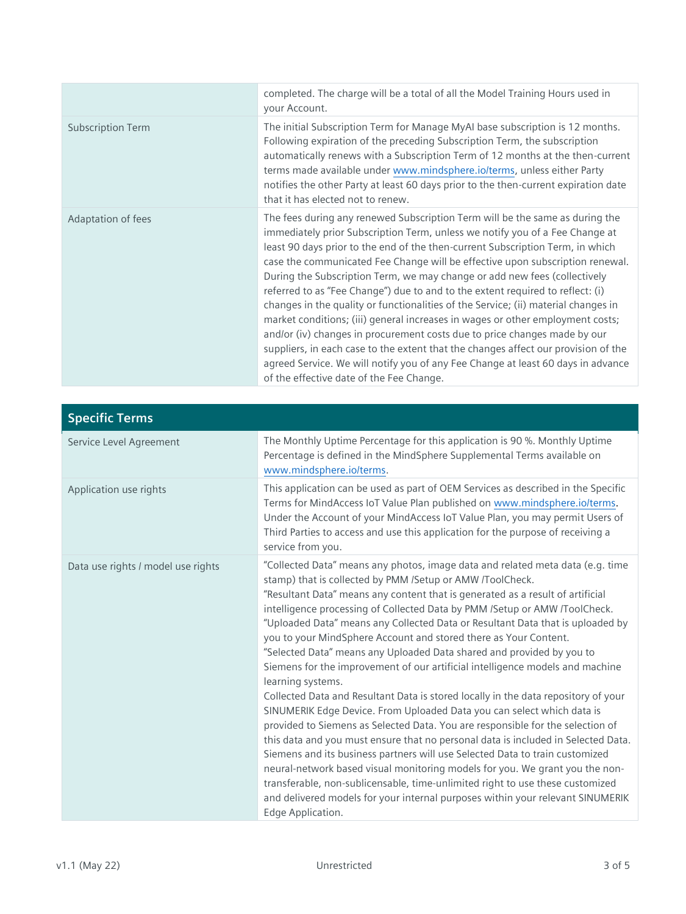|                          | completed. The charge will be a total of all the Model Training Hours used in<br>your Account.                                                                                                                                                                                                                                                                                                                                                                                                                                                                                                                                                                                                                                                                                                                                                                                                                                                                            |
|--------------------------|---------------------------------------------------------------------------------------------------------------------------------------------------------------------------------------------------------------------------------------------------------------------------------------------------------------------------------------------------------------------------------------------------------------------------------------------------------------------------------------------------------------------------------------------------------------------------------------------------------------------------------------------------------------------------------------------------------------------------------------------------------------------------------------------------------------------------------------------------------------------------------------------------------------------------------------------------------------------------|
| <b>Subscription Term</b> | The initial Subscription Term for Manage MyAI base subscription is 12 months.<br>Following expiration of the preceding Subscription Term, the subscription<br>automatically renews with a Subscription Term of 12 months at the then-current<br>terms made available under www.mindsphere.io/terms, unless either Party<br>notifies the other Party at least 60 days prior to the then-current expiration date<br>that it has elected not to renew.                                                                                                                                                                                                                                                                                                                                                                                                                                                                                                                       |
| Adaptation of fees       | The fees during any renewed Subscription Term will be the same as during the<br>immediately prior Subscription Term, unless we notify you of a Fee Change at<br>least 90 days prior to the end of the then-current Subscription Term, in which<br>case the communicated Fee Change will be effective upon subscription renewal.<br>During the Subscription Term, we may change or add new fees (collectively<br>referred to as "Fee Change") due to and to the extent required to reflect: (i)<br>changes in the quality or functionalities of the Service; (ii) material changes in<br>market conditions; (iii) general increases in wages or other employment costs;<br>and/or (iv) changes in procurement costs due to price changes made by our<br>suppliers, in each case to the extent that the changes affect our provision of the<br>agreed Service. We will notify you of any Fee Change at least 60 days in advance<br>of the effective date of the Fee Change. |

| <b>Specific Terms</b>              |                                                                                                                                                                                                                                                                                                                                                                                                                                                                                                                                                                                                                                                                                                                                                                                                                                                                                                                                                                                                                                                                                                                                                                                                                                                                                                                                                 |
|------------------------------------|-------------------------------------------------------------------------------------------------------------------------------------------------------------------------------------------------------------------------------------------------------------------------------------------------------------------------------------------------------------------------------------------------------------------------------------------------------------------------------------------------------------------------------------------------------------------------------------------------------------------------------------------------------------------------------------------------------------------------------------------------------------------------------------------------------------------------------------------------------------------------------------------------------------------------------------------------------------------------------------------------------------------------------------------------------------------------------------------------------------------------------------------------------------------------------------------------------------------------------------------------------------------------------------------------------------------------------------------------|
| Service Level Agreement            | The Monthly Uptime Percentage for this application is 90 %. Monthly Uptime<br>Percentage is defined in the MindSphere Supplemental Terms available on<br>www.mindsphere.io/terms.                                                                                                                                                                                                                                                                                                                                                                                                                                                                                                                                                                                                                                                                                                                                                                                                                                                                                                                                                                                                                                                                                                                                                               |
| Application use rights             | This application can be used as part of OEM Services as described in the Specific<br>Terms for MindAccess IoT Value Plan published on www.mindsphere.io/terms.<br>Under the Account of your MindAccess IoT Value Plan, you may permit Users of<br>Third Parties to access and use this application for the purpose of receiving a<br>service from you.                                                                                                                                                                                                                                                                                                                                                                                                                                                                                                                                                                                                                                                                                                                                                                                                                                                                                                                                                                                          |
| Data use rights / model use rights | "Collected Data" means any photos, image data and related meta data (e.g. time<br>stamp) that is collected by PMM /Setup or AMW /ToolCheck.<br>"Resultant Data" means any content that is generated as a result of artificial<br>intelligence processing of Collected Data by PMM /Setup or AMW /ToolCheck.<br>"Uploaded Data" means any Collected Data or Resultant Data that is uploaded by<br>you to your MindSphere Account and stored there as Your Content.<br>"Selected Data" means any Uploaded Data shared and provided by you to<br>Siemens for the improvement of our artificial intelligence models and machine<br>learning systems.<br>Collected Data and Resultant Data is stored locally in the data repository of your<br>SINUMERIK Edge Device. From Uploaded Data you can select which data is<br>provided to Siemens as Selected Data. You are responsible for the selection of<br>this data and you must ensure that no personal data is included in Selected Data.<br>Siemens and its business partners will use Selected Data to train customized<br>neural-network based visual monitoring models for you. We grant you the non-<br>transferable, non-sublicensable, time-unlimited right to use these customized<br>and delivered models for your internal purposes within your relevant SINUMERIK<br>Edge Application. |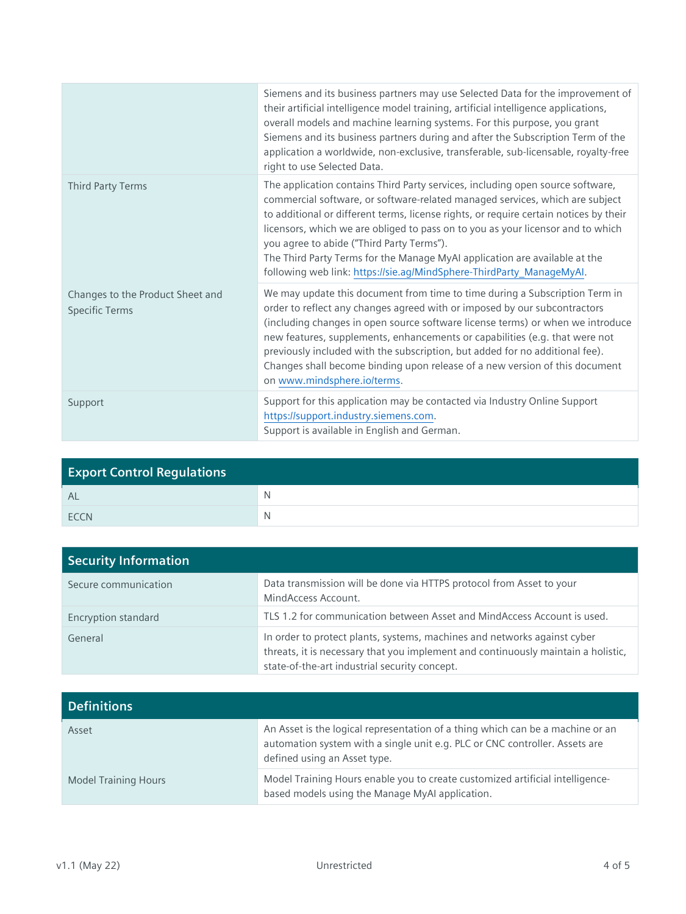|                                                           | Siemens and its business partners may use Selected Data for the improvement of<br>their artificial intelligence model training, artificial intelligence applications,<br>overall models and machine learning systems. For this purpose, you grant<br>Siemens and its business partners during and after the Subscription Term of the<br>application a worldwide, non-exclusive, transferable, sub-licensable, royalty-free<br>right to use Selected Data.                                                                                     |
|-----------------------------------------------------------|-----------------------------------------------------------------------------------------------------------------------------------------------------------------------------------------------------------------------------------------------------------------------------------------------------------------------------------------------------------------------------------------------------------------------------------------------------------------------------------------------------------------------------------------------|
| Third Party Terms                                         | The application contains Third Party services, including open source software,<br>commercial software, or software-related managed services, which are subject<br>to additional or different terms, license rights, or require certain notices by their<br>licensors, which we are obliged to pass on to you as your licensor and to which<br>you agree to abide ("Third Party Terms").<br>The Third Party Terms for the Manage MyAI application are available at the<br>following web link: https://sie.ag/MindSphere-ThirdParty_ManageMyAl. |
| Changes to the Product Sheet and<br><b>Specific Terms</b> | We may update this document from time to time during a Subscription Term in<br>order to reflect any changes agreed with or imposed by our subcontractors<br>(including changes in open source software license terms) or when we introduce<br>new features, supplements, enhancements or capabilities (e.g. that were not<br>previously included with the subscription, but added for no additional fee).<br>Changes shall become binding upon release of a new version of this document<br>on www.mindsphere.io/terms.                       |
| Support                                                   | Support for this application may be contacted via Industry Online Support<br>https://support.industry.siemens.com.<br>Support is available in English and German.                                                                                                                                                                                                                                                                                                                                                                             |

| <b>Export Control Regulations</b> |  |
|-----------------------------------|--|
| - AL                              |  |
| <b>FCCN</b>                       |  |

| Security Information |                                                                                                                                                                                                                |
|----------------------|----------------------------------------------------------------------------------------------------------------------------------------------------------------------------------------------------------------|
| Secure communication | Data transmission will be done via HTTPS protocol from Asset to your<br>MindAccess Account.                                                                                                                    |
| Encryption standard  | TLS 1.2 for communication between Asset and MindAccess Account is used.                                                                                                                                        |
| General              | In order to protect plants, systems, machines and networks against cyber<br>threats, it is necessary that you implement and continuously maintain a holistic,<br>state-of-the-art industrial security concept. |

| <b>Definitions</b>          |                                                                                                                                                                                               |
|-----------------------------|-----------------------------------------------------------------------------------------------------------------------------------------------------------------------------------------------|
| Asset                       | An Asset is the logical representation of a thing which can be a machine or an<br>automation system with a single unit e.g. PLC or CNC controller. Assets are<br>defined using an Asset type. |
| <b>Model Training Hours</b> | Model Training Hours enable you to create customized artificial intelligence-<br>based models using the Manage MyAI application.                                                              |